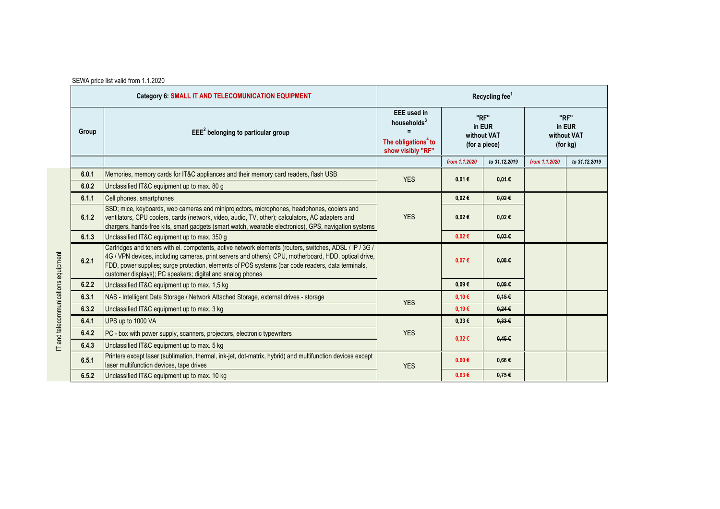|                                     |       | SEWA price list valid from 1.1.2020                                                                                                                                                                                                                                                                                                                                                 |                                                                                                       |                                                |                 |                                           |               |  |
|-------------------------------------|-------|-------------------------------------------------------------------------------------------------------------------------------------------------------------------------------------------------------------------------------------------------------------------------------------------------------------------------------------------------------------------------------------|-------------------------------------------------------------------------------------------------------|------------------------------------------------|-----------------|-------------------------------------------|---------------|--|
|                                     |       | Category 6: SMALL IT AND TELECOMUNICATION EQUIPMENT                                                                                                                                                                                                                                                                                                                                 | Recycling fee <sup>1</sup>                                                                            |                                                |                 |                                           |               |  |
|                                     | Group | $EEE2$ belonging to particular group                                                                                                                                                                                                                                                                                                                                                | <b>EEE</b> used in<br>households <sup>3</sup><br>The obligations <sup>4</sup> to<br>show visibly "RF" | "RF"<br>in EUR<br>without VAT<br>(for a piece) |                 | "RF"<br>in EUR<br>without VAT<br>(for kg) |               |  |
|                                     |       |                                                                                                                                                                                                                                                                                                                                                                                     |                                                                                                       | from 1.1.2020                                  | to 31.12.2019   | from 1.1.2020                             | to 31.12.2019 |  |
|                                     | 6.0.1 | Memories, memory cards for IT&C appliances and their memory card readers, flash USB                                                                                                                                                                                                                                                                                                 | <b>YES</b>                                                                                            | 0,01€                                          | $0.01 \in$      |                                           |               |  |
|                                     | 6.0.2 | Unclassified IT&C equipment up to max. 80 g                                                                                                                                                                                                                                                                                                                                         |                                                                                                       |                                                |                 |                                           |               |  |
|                                     | 6.1.1 | Cell phones, smartphones                                                                                                                                                                                                                                                                                                                                                            |                                                                                                       | 0,02€                                          | $0.02 \in$      |                                           |               |  |
|                                     | 6.1.2 | SSD; mice, keyboards, web cameras and miniprojectors, microphones, headphones, coolers and<br>ventilators, CPU coolers, cards (network, video, audio, TV, other); calculators, AC adapters and<br>chargers, hands-free kits, smart gadgets (smart watch, wearable electronics), GPS, navigation systems                                                                             | <b>YES</b>                                                                                            | 0,02€                                          | $0.02 \in$      |                                           |               |  |
|                                     | 6.1.3 | Unclassified IT&C equipment up to max. 350 g                                                                                                                                                                                                                                                                                                                                        |                                                                                                       | 0,02€                                          | 0.03E           |                                           |               |  |
| IT and telecommunications equipment | 6.2.1 | Cartridges and toners with el. compotents, active network elements (routers, switches, ADSL / IP / 3G /<br>4G / VPN devices, including cameras, print servers and others); CPU, motherboard, HDD, optical drive,<br>FDD, power supplies; surge protection, elements of POS systems (bar code readers, data terminals,<br>customer displays); PC speakers; digital and analog phones |                                                                                                       | 0,07€                                          | 0.08E           |                                           |               |  |
|                                     | 6.2.2 | Unclassified IT&C equipment up to max. 1,5 kg                                                                                                                                                                                                                                                                                                                                       |                                                                                                       | $0.09 \in$                                     | 0.09E           |                                           |               |  |
|                                     | 6.3.1 | NAS - Intelligent Data Storage / Network Attached Storage, external drives - storage                                                                                                                                                                                                                                                                                                | <b>YES</b>                                                                                            | 0,10€                                          | 0.15E           |                                           |               |  |
|                                     | 6.3.2 | Unclassified IT&C equipment up to max. 3 kg                                                                                                                                                                                                                                                                                                                                         |                                                                                                       | 0,19€                                          | $0.24 \epsilon$ |                                           |               |  |
|                                     | 6.4.1 | UPS up to 1000 VA                                                                                                                                                                                                                                                                                                                                                                   |                                                                                                       | $0.33 \in$                                     | 0.33E           |                                           |               |  |
|                                     | 6.4.2 | PC - box with power supply, scanners, projectors, electronic typewriters                                                                                                                                                                                                                                                                                                            | <b>YES</b>                                                                                            | $0,32 \in$                                     | 0.45E           |                                           |               |  |
|                                     | 6.4.3 | Unclassified IT&C equipment up to max. 5 kg                                                                                                                                                                                                                                                                                                                                         |                                                                                                       |                                                |                 |                                           |               |  |
|                                     | 6.5.1 | Printers except laser (sublimation, thermal, ink-jet, dot-matrix, hybrid) and multifunction devices except<br>laser multifunction devices, tape drives                                                                                                                                                                                                                              | <b>YES</b>                                                                                            | $0.60 \in$                                     | $0.66 \in$      |                                           |               |  |
|                                     | 6.5.2 | Unclassified IT&C equipment up to max. 10 kg                                                                                                                                                                                                                                                                                                                                        |                                                                                                       | 0,63€                                          | 0.75E           |                                           |               |  |